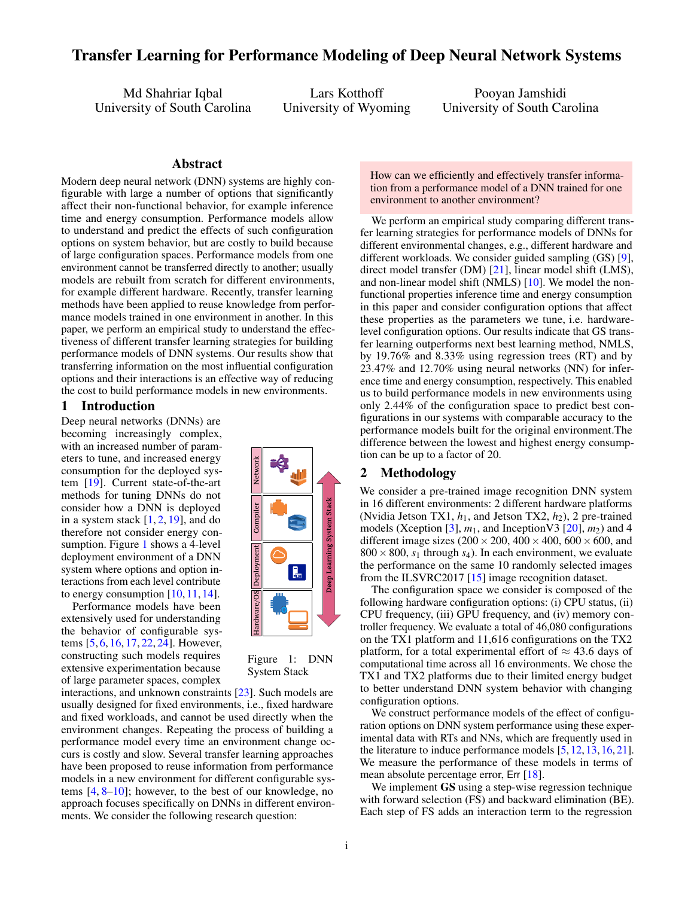# Transfer Learning for Performance Modeling of Deep Neural Network Systems

Md Shahriar Iqbal University of South Carolina

Lars Kotthoff University of Wyoming

Pooyan Jamshidi University of South Carolina

#### Abstract

Modern deep neural network (DNN) systems are highly con figurable with large a number of options that significantly affect their non-functional behavior, for example inference ktime and energy consumption. Performance models allow to understand and predict the effects of such configuration options on system behavior, but are costly to build because of large configuration spaces. Performance models from one environment cannot be transferred directly to another; usually models are rebuilt from scratch for different environments, for example different hardware. Recently, transfer learning methods have been applied to reuse knowledge from performance models trained in one environment in another. In this paper, we perform an empirical study to understand the effec tiveness of different transfer learning strategies for building performance models of DNN systems. Our results show that transferring information on the most influential configuration options and their interactions is an effective way of reducing the cost to build performance models in new environments.

#### 1 Introduction

Deep neural networks (DNNs) are becoming increasingly complex, with an increased number of parameters to tune, and increased energy consumption for the deployed system [\[19\]](#page-2-0). Current state-of-the-art methods for tuning DNNs do not consider how a DNN is deployed in a system stack  $[1, 2, 19]$  $[1, 2, 19]$  $[1, 2, 19]$  $[1, 2, 19]$  $[1, 2, 19]$ , and do therefore not consider energy con-sumption. Figure [1](#page-0-0) shows a 4-level deployment environment of a DNN system where options and option interactions from each level contribute to energy consumption  $[10, 11, 14]$  $[10, 11, 14]$  $[10, 11, 14]$  $[10, 11, 14]$  $[10, 11, 14]$ .

Performance models have been extensively used for understanding the behavior of configurable systems [\[5,](#page-2-6) [6,](#page-2-7) [16,](#page-2-8) [17,](#page-2-9) [22,](#page-3-0) [24\]](#page-3-1). However, constructing such models requires extensive experimentation because of large parameter spaces, complex



Figure 1: DNN System Stack

interactions, and unknown constraints [\[23\]](#page-3-2). Such models are usually designed for fixed environments, i.e., fixed hardware and fixed workloads, and cannot be used directly when the environment changes. Repeating the process of building a performance model every time an environment change occurs is costly and slow. Several transfer learning approaches have been proposed to reuse information from performance models in a new environment for different configurable systems [\[4,](#page-2-10) [8–](#page-2-11)[10\]](#page-2-3); however, to the best of our knowledge, no approach focuses specifically on DNNs in different environments. We consider the following research question:

How can we efficiently and effectively transfer information from a performance model of a DNN trained for one environment to another environment?

We perform an empirical study comparing different transfer learning strategies for performance models of DNNs for different environmental changes, e.g., different hardware and different workloads. We consider guided sampling (GS) [\[9\]](#page-2-12), direct model transfer (DM) [\[21\]](#page-3-3), linear model shift (LMS), and non-linear model shift (NMLS) [\[10\]](#page-2-3). We model the nonfunctional properties inference time and energy consumption in this paper and consider configuration options that affect these properties as the parameters we tune, i.e. hardwarelevel configuration options. Our results indicate that GS transfer learning outperforms next best learning method, NMLS, by 19.76% and 8.33% using regression trees (RT) and by 23.47% and 12.70% using neural networks (NN) for inference time and energy consumption, respectively. This enabled us to build performance models in new environments using only 2.44% of the configuration space to predict best configurations in our systems with comparable accuracy to the performance models built for the original environment.The difference between the lowest and highest energy consumption can be up to a factor of 20.

## 2 Methodology

We consider a pre-trained image recognition DNN system in 16 different environments: 2 different hardware platforms (Nvidia Jetson TX1,  $h_1$ , and Jetson TX2,  $h_2$ ), 2 pre-trained models (Xception [\[3\]](#page-2-13),  $m_1$ , and Inception V3 [\[20\]](#page-2-14),  $m_2$ ) and 4 different image sizes  $(200 \times 200, 400 \times 400, 600 \times 600,$  and  $800 \times 800$ ,  $s_1$  through  $s_4$ ). In each environment, we evaluate the performance on the same 10 randomly selected images from the ILSVRC2017 [\[15\]](#page-2-15) image recognition dataset.

The configuration space we consider is composed of the following hardware configuration options: (i) CPU status, (ii) CPU frequency, (iii) GPU frequency, and (iv) memory controller frequency. We evaluate a total of 46,080 configurations on the TX1 platform and 11,616 configurations on the TX2 platform, for a total experimental effort of  $\approx$  43.6 days of computational time across all 16 environments. We chose the TX1 and TX2 platforms due to their limited energy budget to better understand DNN system behavior with changing configuration options.

<span id="page-0-0"></span>We construct performance models of the effect of configuration options on DNN system performance using these experimental data with RTs and NNs, which are frequently used in the literature to induce performance models [\[5,](#page-2-6) [12,](#page-2-16) [13,](#page-2-17) [16,](#page-2-8) [21\]](#page-3-3). We measure the performance of these models in terms of mean absolute percentage error, Err [\[18\]](#page-2-18).

We implement **GS** using a step-wise regression technique with forward selection (FS) and backward elimination (BE). Each step of FS adds an interaction term to the regression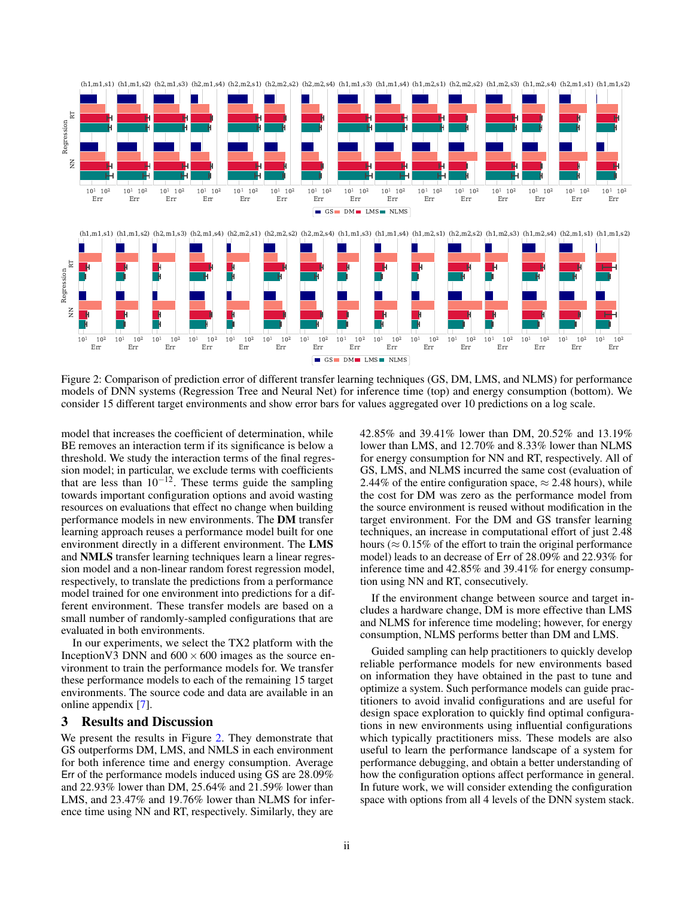

<span id="page-1-0"></span>Figure 2: Comparison of prediction error of different transfer learning techniques (GS, DM, LMS, and NLMS) for performance models of DNN systems (Regression Tree and Neural Net) for inference time (top) and energy consumption (bottom). We consider 15 different target environments and show error bars for values aggregated over 10 predictions on a log scale.

model that increases the coefficient of determination, while BE removes an interaction term if its significance is below a threshold. We study the interaction terms of the final regression model; in particular, we exclude terms with coefficients that are less than  $10^{-12}$ . These terms guide the sampling towards important configuration options and avoid wasting resources on evaluations that effect no change when building performance models in new environments. The DM transfer learning approach reuses a performance model built for one environment directly in a different environment. The LMS and NMLS transfer learning techniques learn a linear regression model and a non-linear random forest regression model, respectively, to translate the predictions from a performance model trained for one environment into predictions for a different environment. These transfer models are based on a small number of randomly-sampled configurations that are evaluated in both environments.

In our experiments, we select the TX2 platform with the Inception V3 DNN and  $600 \times 600$  images as the source environment to train the performance models for. We transfer these performance models to each of the remaining 15 target environments. The source code and data are available in an online appendix [\[7\]](#page-2-19).

## 3 Results and Discussion

We present the results in Figure [2.](#page-1-0) They demonstrate that GS outperforms DM, LMS, and NMLS in each environment for both inference time and energy consumption. Average Err of the performance models induced using GS are 28.09% and 22.93% lower than DM, 25.64% and 21.59% lower than LMS, and 23.47% and 19.76% lower than NLMS for inference time using NN and RT, respectively. Similarly, they are

42.85% and 39.41% lower than DM, 20.52% and 13.19% lower than LMS, and 12.70% and 8.33% lower than NLMS for energy consumption for NN and RT, respectively. All of GS, LMS, and NLMS incurred the same cost (evaluation of 2.44% of the entire configuration space,  $\approx$  2.48 hours), while the cost for DM was zero as the performance model from the source environment is reused without modification in the target environment. For the DM and GS transfer learning techniques, an increase in computational effort of just 2.48 hours ( $\approx 0.15\%$  of the effort to train the original performance model) leads to an decrease of Err of 28.09% and 22.93% for inference time and 42.85% and 39.41% for energy consumption using NN and RT, consecutively.

If the environment change between source and target includes a hardware change, DM is more effective than LMS and NLMS for inference time modeling; however, for energy consumption, NLMS performs better than DM and LMS.

Guided sampling can help practitioners to quickly develop reliable performance models for new environments based on information they have obtained in the past to tune and optimize a system. Such performance models can guide practitioners to avoid invalid configurations and are useful for design space exploration to quickly find optimal configurations in new environments using influential configurations which typically practitioners miss. These models are also useful to learn the performance landscape of a system for performance debugging, and obtain a better understanding of how the configuration options affect performance in general. In future work, we will consider extending the configuration space with options from all 4 levels of the DNN system stack.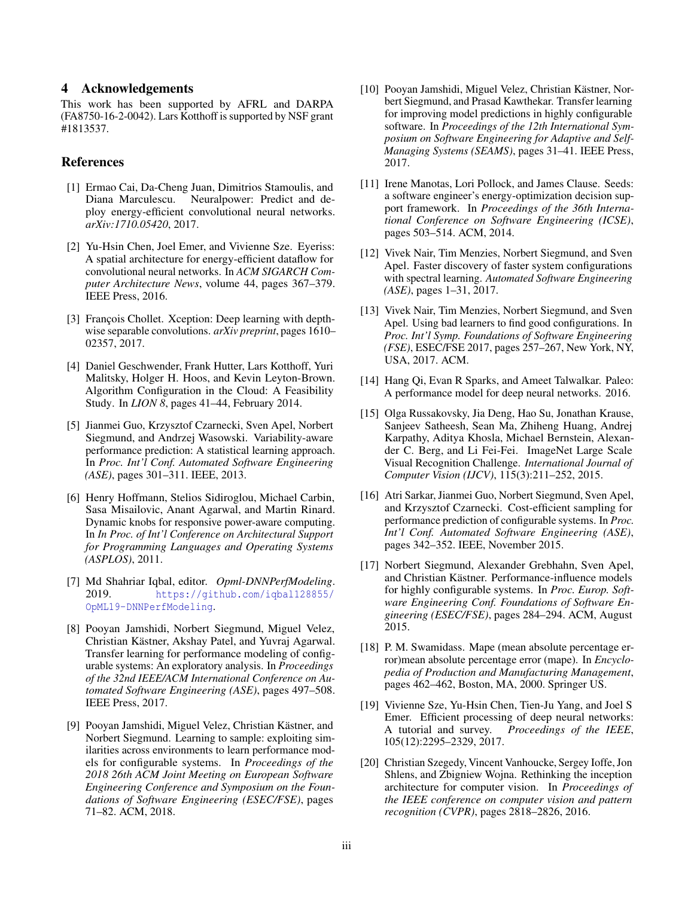## 4 Acknowledgements

This work has been supported by AFRL and DARPA (FA8750-16-2-0042). Lars Kotthoff is supported by NSF grant #1813537.

## References

- <span id="page-2-1"></span>[1] Ermao Cai, Da-Cheng Juan, Dimitrios Stamoulis, and Diana Marculescu. Neuralpower: Predict and deploy energy-efficient convolutional neural networks. *arXiv:1710.05420*, 2017.
- <span id="page-2-2"></span>[2] Yu-Hsin Chen, Joel Emer, and Vivienne Sze. Eyeriss: A spatial architecture for energy-efficient dataflow for convolutional neural networks. In *ACM SIGARCH Computer Architecture News*, volume 44, pages 367–379. IEEE Press, 2016.
- <span id="page-2-13"></span>[3] François Chollet. Xception: Deep learning with depthwise separable convolutions. *arXiv preprint*, pages 1610– 02357, 2017.
- <span id="page-2-10"></span>[4] Daniel Geschwender, Frank Hutter, Lars Kotthoff, Yuri Malitsky, Holger H. Hoos, and Kevin Leyton-Brown. Algorithm Configuration in the Cloud: A Feasibility Study. In *LION 8*, pages 41–44, February 2014.
- <span id="page-2-6"></span>[5] Jianmei Guo, Krzysztof Czarnecki, Sven Apel, Norbert Siegmund, and Andrzej Wasowski. Variability-aware performance prediction: A statistical learning approach. In *Proc. Int'l Conf. Automated Software Engineering (ASE)*, pages 301–311. IEEE, 2013.
- <span id="page-2-7"></span>[6] Henry Hoffmann, Stelios Sidiroglou, Michael Carbin, Sasa Misailovic, Anant Agarwal, and Martin Rinard. Dynamic knobs for responsive power-aware computing. In *In Proc. of Int'l Conference on Architectural Support for Programming Languages and Operating Systems (ASPLOS)*, 2011.
- <span id="page-2-19"></span>[7] Md Shahriar Iqbal, editor. *Opml-DNNPerfModeling*. 2019. [https://github.com/iqbal128855/](https://github.com/iqbal128855/OpML19-DNNPerfModeling) [OpML19-DNNPerfModeling](https://github.com/iqbal128855/OpML19-DNNPerfModeling).
- <span id="page-2-11"></span>[8] Pooyan Jamshidi, Norbert Siegmund, Miguel Velez, Christian Kästner, Akshay Patel, and Yuvraj Agarwal. Transfer learning for performance modeling of configurable systems: An exploratory analysis. In *Proceedings of the 32nd IEEE/ACM International Conference on Automated Software Engineering (ASE)*, pages 497–508. IEEE Press, 2017.
- <span id="page-2-12"></span>[9] Pooyan Jamshidi, Miguel Velez, Christian Kästner, and Norbert Siegmund. Learning to sample: exploiting similarities across environments to learn performance models for configurable systems. In *Proceedings of the 2018 26th ACM Joint Meeting on European Software Engineering Conference and Symposium on the Foundations of Software Engineering (ESEC/FSE)*, pages 71–82. ACM, 2018.
- <span id="page-2-3"></span>[10] Pooyan Jamshidi, Miguel Velez, Christian Kästner, Norbert Siegmund, and Prasad Kawthekar. Transfer learning for improving model predictions in highly configurable software. In *Proceedings of the 12th International Symposium on Software Engineering for Adaptive and Self-Managing Systems (SEAMS)*, pages 31–41. IEEE Press, 2017.
- <span id="page-2-4"></span>[11] Irene Manotas, Lori Pollock, and James Clause. Seeds: a software engineer's energy-optimization decision support framework. In *Proceedings of the 36th International Conference on Software Engineering (ICSE)*, pages 503–514. ACM, 2014.
- <span id="page-2-16"></span>[12] Vivek Nair, Tim Menzies, Norbert Siegmund, and Sven Apel. Faster discovery of faster system configurations with spectral learning. *Automated Software Engineering (ASE)*, pages 1–31, 2017.
- <span id="page-2-17"></span>[13] Vivek Nair, Tim Menzies, Norbert Siegmund, and Sven Apel. Using bad learners to find good configurations. In *Proc. Int'l Symp. Foundations of Software Engineering (FSE)*, ESEC/FSE 2017, pages 257–267, New York, NY, USA, 2017. ACM.
- <span id="page-2-5"></span>[14] Hang Qi, Evan R Sparks, and Ameet Talwalkar. Paleo: A performance model for deep neural networks. 2016.
- <span id="page-2-15"></span>[15] Olga Russakovsky, Jia Deng, Hao Su, Jonathan Krause, Sanjeev Satheesh, Sean Ma, Zhiheng Huang, Andrej Karpathy, Aditya Khosla, Michael Bernstein, Alexander C. Berg, and Li Fei-Fei. ImageNet Large Scale Visual Recognition Challenge. *International Journal of Computer Vision (IJCV)*, 115(3):211–252, 2015.
- <span id="page-2-8"></span>[16] Atri Sarkar, Jianmei Guo, Norbert Siegmund, Sven Apel, and Krzysztof Czarnecki. Cost-efficient sampling for performance prediction of configurable systems. In *Proc. Int'l Conf. Automated Software Engineering (ASE)*, pages 342–352. IEEE, November 2015.
- <span id="page-2-9"></span>[17] Norbert Siegmund, Alexander Grebhahn, Sven Apel, and Christian Kästner. Performance-influence models for highly configurable systems. In *Proc. Europ. Software Engineering Conf. Foundations of Software Engineering (ESEC/FSE)*, pages 284–294. ACM, August 2015.
- <span id="page-2-18"></span>[18] P. M. Swamidass. Mape (mean absolute percentage error)mean absolute percentage error (mape). In *Encyclopedia of Production and Manufacturing Management*, pages 462–462, Boston, MA, 2000. Springer US.
- <span id="page-2-0"></span>[19] Vivienne Sze, Yu-Hsin Chen, Tien-Ju Yang, and Joel S Emer. Efficient processing of deep neural networks: A tutorial and survey. *Proceedings of the IEEE*, 105(12):2295–2329, 2017.
- <span id="page-2-14"></span>[20] Christian Szegedy, Vincent Vanhoucke, Sergey Ioffe, Jon Shlens, and Zbigniew Wojna. Rethinking the inception architecture for computer vision. In *Proceedings of the IEEE conference on computer vision and pattern recognition (CVPR)*, pages 2818–2826, 2016.